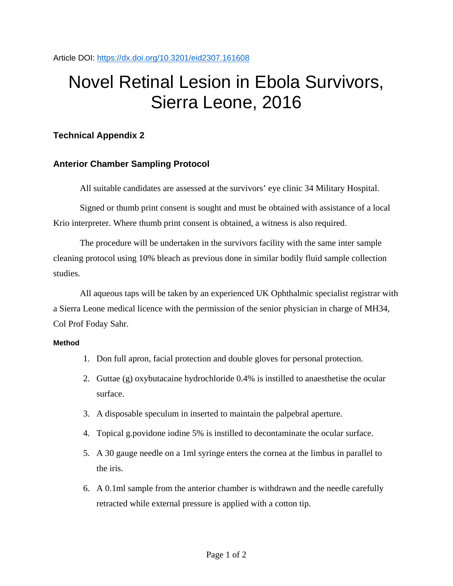# Novel Retinal Lesion in Ebola Survivors, Sierra Leone, 2016

## **Technical Appendix 2**

### **Anterior Chamber Sampling Protocol**

All suitable candidates are assessed at the survivors' eye clinic 34 Military Hospital.

Signed or thumb print consent is sought and must be obtained with assistance of a local Krio interpreter. Where thumb print consent is obtained, a witness is also required.

The procedure will be undertaken in the survivors facility with the same inter sample cleaning protocol using 10% bleach as previous done in similar bodily fluid sample collection studies.

All aqueous taps will be taken by an experienced UK Ophthalmic specialist registrar with a Sierra Leone medical licence with the permission of the senior physician in charge of MH34, Col Prof Foday Sahr.

#### **Method**

- 1. Don full apron, facial protection and double gloves for personal protection.
- 2. Guttae (g) oxybutacaine hydrochloride 0.4% is instilled to anaesthetise the ocular surface.
- 3. A disposable speculum in inserted to maintain the palpebral aperture.
- 4. Topical g.povidone iodine 5% is instilled to decontaminate the ocular surface.
- 5. A 30 gauge needle on a 1ml syringe enters the cornea at the limbus in parallel to the iris.
- 6. A 0.1ml sample from the anterior chamber is withdrawn and the needle carefully retracted while external pressure is applied with a cotton tip.